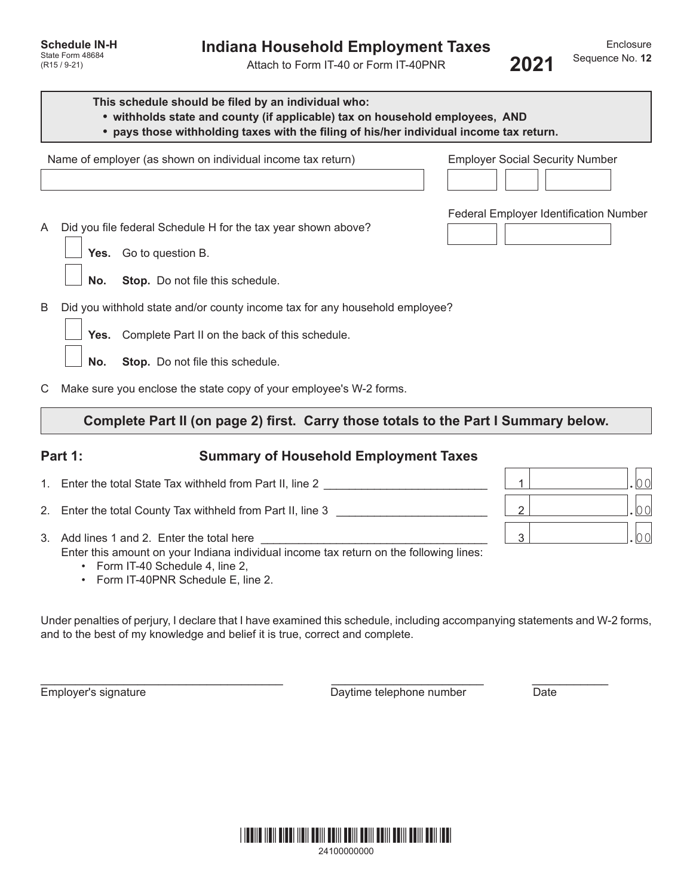Attach to Form IT-40 or Form IT-40PNR

Name of employer (as shown on individual income tax return) Employer Social Security Number Federal Employer Identification Number A Did you file federal Schedule H for the tax year shown above? **Yes.** Go to question B. **No. Stop.** Do not file this schedule. B Did you withhold state and/or county income tax for any household employee? **Yes.** Complete Part II on the back of this schedule. **No. Stop.** Do not file this schedule. **This schedule should be filed by an individual who: • withholds state and county (if applicable) tax on household employees, AND • pays those withholding taxes with the filing of his/her individual income tax return.**

C Make sure you enclose the state copy of your employee's W-2 forms.

# **Complete Part II (on page 2) first. Carry those totals to the Part I Summary below.**

## **Part 1: Summary of Household Employment Taxes**

- 1. Enter the total State Tax withheld from Part II, line 2  $\hskip1cm$  . The state of the state of  $\hskip1cm$  1
- 2. Enter the total County Tax withheld from Part II, line 3 \_\_\_\_\_\_\_\_\_\_\_\_\_\_\_\_\_\_\_\_\_\_\_\_ 2 .00
- 3. Add lines 1 and 2. Enter the total here  $\boxed{3}$ Enter this amount on your Indiana individual income tax return on the following lines:
	- Form IT-40 Schedule 4, line 2,
	- Form IT-40PNR Schedule E, line 2.

Under penalties of perjury, I declare that I have examined this schedule, including accompanying statements and W-2 forms, and to the best of my knowledge and belief it is true, correct and complete.

 $\_$  , and the set of the set of the set of the set of the set of the set of the set of the set of the set of the set of the set of the set of the set of the set of the set of the set of the set of the set of the set of th

Employer's signature The Control of the Daytime telephone number Date Date



|  |  | 24100000000 |  |  |  |  |
|--|--|-------------|--|--|--|--|